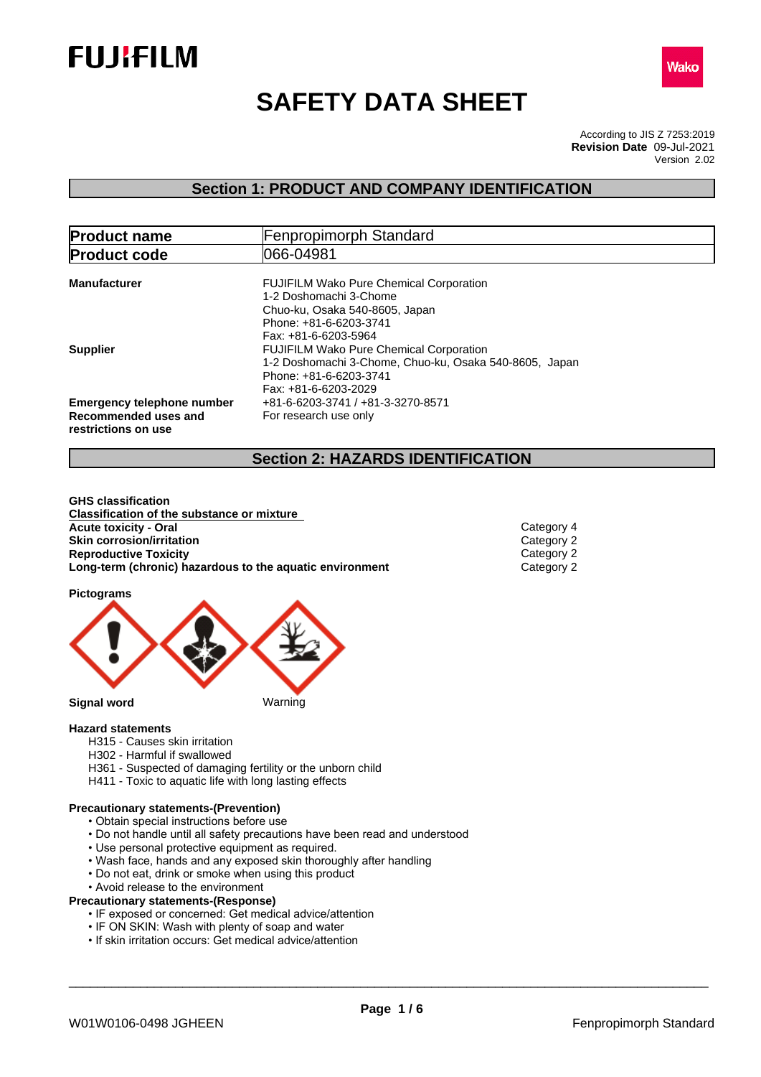



# **SAFETY DATA SHEET**

According to JIS Z 7253:2019 Version 2.02 **Revision Date** 09-Jul-2021

# **Section 1: PRODUCT AND COMPANY IDENTIFICATION**

| <b>Product name</b>                                                              | <b>Fenpropimorph Standard</b>                                                                                                                                |  |  |  |
|----------------------------------------------------------------------------------|--------------------------------------------------------------------------------------------------------------------------------------------------------------|--|--|--|
| <b>Product code</b>                                                              | 066-04981                                                                                                                                                    |  |  |  |
| <b>Manufacturer</b>                                                              | <b>FUJIFILM Wako Pure Chemical Corporation</b><br>1-2 Doshomachi 3-Chome<br>Chuo-ku, Osaka 540-8605, Japan<br>Phone: +81-6-6203-3741<br>Fax: +81-6-6203-5964 |  |  |  |
| <b>Supplier</b>                                                                  | <b>FUJIFILM Wako Pure Chemical Corporation</b><br>1-2 Doshomachi 3-Chome, Chuo-ku, Osaka 540-8605, Japan<br>Phone: +81-6-6203-3741<br>Fax: +81-6-6203-2029   |  |  |  |
| <b>Emergency telephone number</b><br>Recommended uses and<br>restrictions on use | +81-6-6203-3741 / +81-3-3270-8571<br>For research use only                                                                                                   |  |  |  |

# **Section 2: HAZARDS IDENTIFICATION**

**GHS classification Classification of the substance or mixture Acute toxicity - Oral** Category 4<br> **Skin corrosion/irritation**<br>
Category 2 **Skin corrosion/irritation**<br> **Reproductive Toxicity**<br>
Category 2 **Reproductive Toxicity**<br> **Long-term (chronic) hazardous to the aquatic environment**<br>
Category 2 **Long-term (chronic)** hazardous to the aquatic environment

**Pictograms**



## **Hazard statements**

- H315 Causes skin irritation
- H302 Harmful if swallowed
- H361 Suspected of damaging fertility or the unborn child
- H411 Toxic to aquatic life with long lasting effects

# **Precautionary statements-(Prevention)**

- Obtain special instructions before use
- Do not handle until all safety precautions have been read and understood
- Use personal protective equipment as required.
- Wash face, hands and any exposed skin thoroughly after handling
- Do not eat, drink or smoke when using this product
- Avoid release to the environment

# **Precautionary statements-(Response)**

- IF exposed or concerned: Get medical advice/attention
- IF ON SKIN: Wash with plenty of soap and water
- If skin irritation occurs: Get medical advice/attention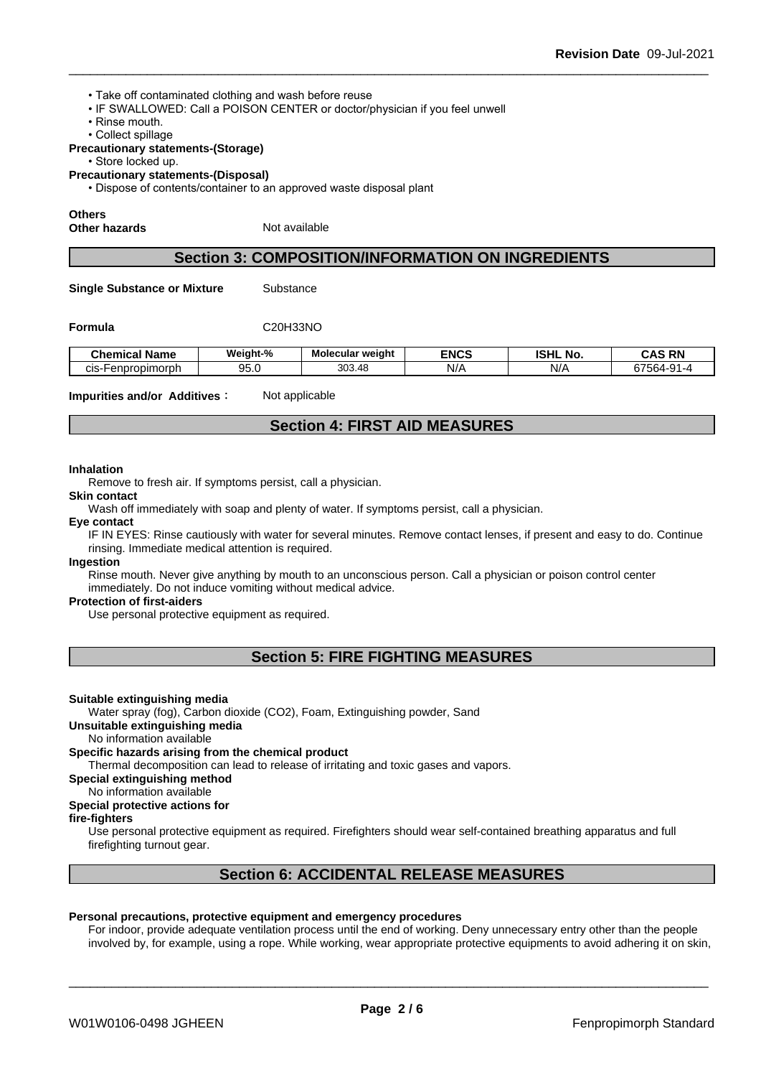- Take off contaminated clothing and wash before reuse
- IF SWALLOWED: Call a POISON CENTER or doctor/physician if you feel unwell
- Rinse mouth.
- Collect spillage

# **Precautionary statements-(Storage)**

• Store locked up.

**Precautionary statements-(Disposal)**

• Dispose of contents/container to an approved waste disposal plant

#### **Others**

**Other hazards** Not available

# **Section 3: COMPOSITION/INFORMATION ON INGREDIENTS**

**Single Substance or Mixture** Substance

**Formula** C20H33NO

| <b>Chemical</b><br>--<br>Name | Weight-%   | Molecular weight | <b>ENCS</b> | <b>ISHL</b><br>No. | <b>RN</b><br>r∧c<br>una                                                      |
|-------------------------------|------------|------------------|-------------|--------------------|------------------------------------------------------------------------------|
| Fenpropimorph،<br>CIS-⊦       | ΩE<br>ວບ.ບ | 303.48           | N/          | NI/<br>NZ.         | $\sim$ $\sim$ $\sim$ $\sim$<br>564-91<br>$\sim$<br>$\cdot$ $\cdot$<br>◡<br>ື |

**Impurities and/or Additives:** Not applicable

# **Section 4: FIRST AID MEASURES**

#### **Inhalation**

Remove to fresh air. If symptoms persist, call a physician.

# **Skin contact**

Wash off immediately with soap and plenty of water. If symptoms persist, call a physician.

# **Eye contact**

IF IN EYES: Rinse cautiously with water for several minutes. Remove contact lenses, if present and easy to do. Continue rinsing. Immediate medical attention is required.

#### **Ingestion**

Rinse mouth. Never give anything by mouth to an unconscious person. Call a physician or poison control center immediately. Do not induce vomiting without medical advice.

#### **Protection of first-aiders**

Use personal protective equipment as required.

# **Section 5: FIRE FIGHTING MEASURES**

#### **Suitable extinguishing media**

Water spray (fog), Carbon dioxide (CO2), Foam, Extinguishing powder, Sand

# **Unsuitable extinguishing media**

No information available

#### **Specific hazards arising from the chemical product**

Thermal decomposition can lead to release of irritating and toxic gases and vapors.

# **Special extinguishing method**

No information available

# **Special protective actions for**

# **fire-fighters**

Use personal protective equipment as required.Firefighters should wear self-contained breathing apparatus and full firefighting turnout gear.

# **Section 6: ACCIDENTAL RELEASE MEASURES**

#### **Personal precautions, protective equipment and emergency procedures**

For indoor, provide adequate ventilation process until the end of working. Deny unnecessary entry other than the people involved by, for example, using a rope. While working, wear appropriate protective equipments to avoid adhering it on skin,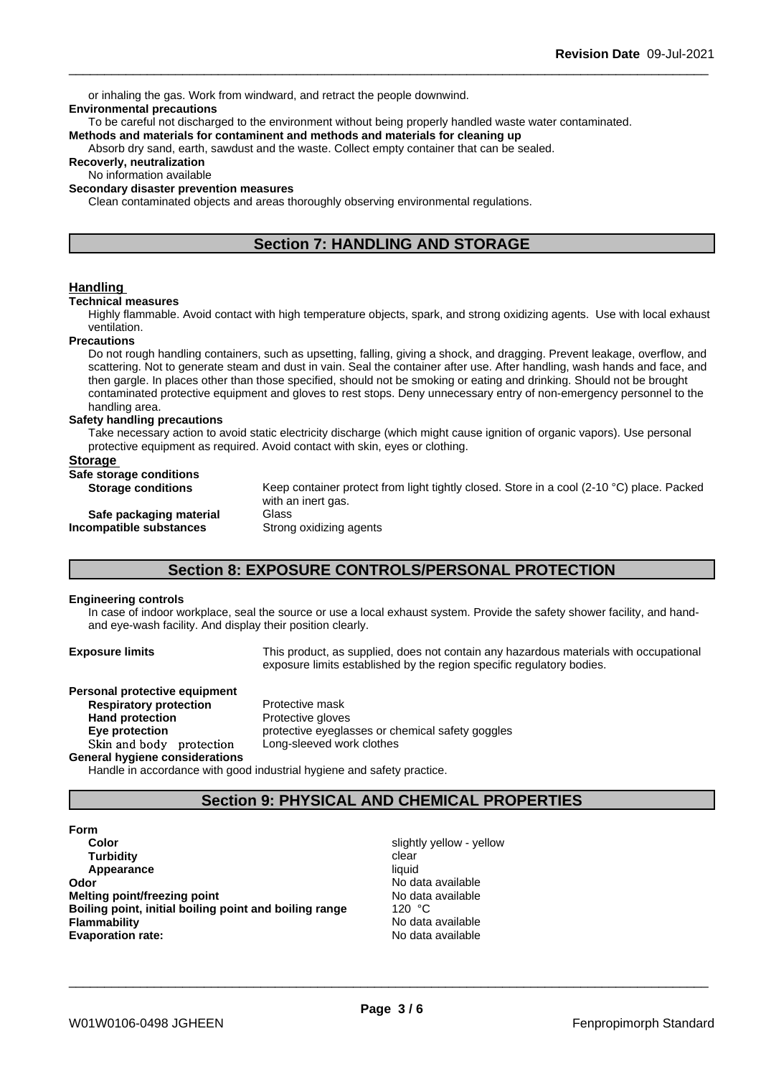or inhaling the gas. Work from windward, and retract the people downwind.

# **Environmental precautions**

To be careful not discharged to the environment without being properly handled waste water contaminated. **Methods and materials for contaminent and methods and materials for cleaning up**

Absorb dry sand, earth, sawdust and the waste. Collect empty container that can be sealed.

# **Recoverly, neutralization**

No information available

# **Secondary disaster prevention measures**

Clean contaminated objects and areas thoroughly observing environmental regulations.

# **Section 7: HANDLING AND STORAGE**

# **Handling**

#### **Technical measures**

Highly flammable. Avoid contact with high temperature objects, spark, and strong oxidizing agents. Use with local exhaust ventilation.

#### **Precautions**

Do not rough handling containers, such as upsetting, falling, giving a shock, and dragging. Prevent leakage, overflow, and scattering. Not to generate steam and dust in vain. Seal the container after use. After handling, wash hands and face, and then gargle. In places other than those specified, should not be smoking or eating and drinking. Should not be brought contaminated protective equipment and gloves to rest stops. Deny unnecessary entry of non-emergency personnel to the handling area.

#### **Safety handling precautions**

Take necessary action to avoid static electricity discharge (which might cause ignition of organic vapors). Use personal protective equipment as required. Avoid contact with skin, eyes or clothing.

# **Storage**

| Safe storage conditions   |                                                                                                     |
|---------------------------|-----------------------------------------------------------------------------------------------------|
| <b>Storage conditions</b> | Keep container protect from light tightly closed. Store in a cool (2-10 $^{\circ}$ C) place. Packed |
|                           | with an inert gas.                                                                                  |
| Safe packaging material   | Glass                                                                                               |
| Incompatible substances   | Strong oxidizing agents                                                                             |
|                           |                                                                                                     |

# **Section 8: EXPOSURE CONTROLS/PERSONAL PROTECTION**

## **Engineering controls**

In case of indoor workplace, seal the source or use a local exhaust system. Provide the safety shower facility, and handand eye-wash facility. And display their position clearly.

**Exposure limits** This product, as supplied, does not contain any hazardous materials with occupational exposure limits established by the region specific regulatory bodies.

# **Personal protective equipment Respiratory protection** Protective mask **Hand protection** Protective gloves

**General hygiene considerations**

**Eye protection Eye** protective eyeglasses or chemical safety goggles Skin and body protection Long-sleeved work clothes

Handle in accordance with good industrial hygiene and safety practice.

# **Section 9: PHYSICAL AND CHEMICAL PROPERTIES**

- **Form Color** Slightly yellow - yellow - yellow - yellow - yellow - yellow - yellow - yellow - yellow - yellow - yellow **Turbidity Clear Appearance** liquid **Odor** No data available **Melting point/freezing point No data available Boiling point, initial boiling point and boiling range** 120 °C **Flammability** No data available **Evaporation rate:** No data available
	-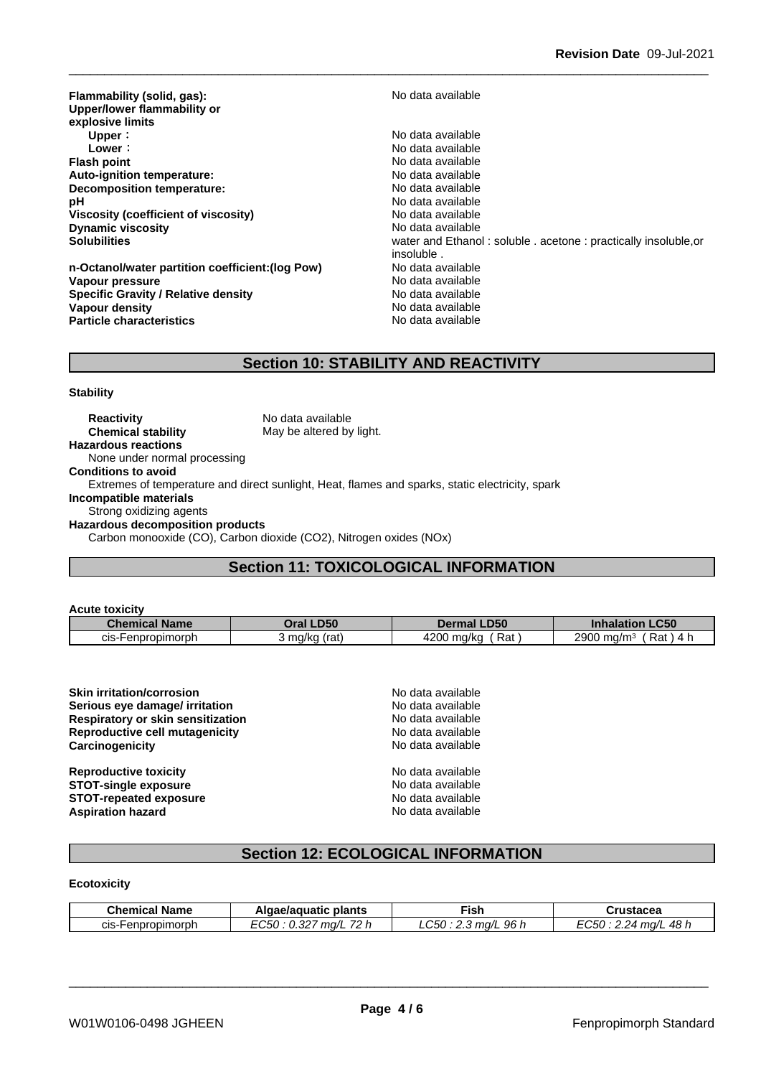**Flammability (solid, gas):** No data available **Upper/lower flammability or explosive limits Upper** : the contract of the contract of the contract of the contract of the contract of the contract of the contract of the contract of the contract of the contract of the contract of the contract of the contract of the **Lower** : **Lower** : **Constant Constant Constant Constant Constant Constant Constant Constant Constant Constant Constant Constant Constant Constant Constant Constant Constant Constant Constant Constant Constant Constant Con Auto-ignition temperature:**  $\qquad \qquad \qquad$ No data available<br> **Decomposition temperature:** No data available **Decomposition temperature: pH** No data available **Viscosity (coefficient of viscosity)** No data available **Dynamic viscosity No data available** No data available

**n-Octanol/water partition coefficient:(log Pow) No data available Vapour pressure** No data available **Specific Gravity / Relative density** No data available **Vapour density**<br> **Particle characteristics**<br> **Particle characteristics Particle characteristics** 

**Flash point** No data available **Solubilities Solubilities water and Ethanol : soluble . acetone : practically insoluble, or** insoluble .

# **Section 10: STABILITY AND REACTIVITY**

## **Stability**

**Reactivity** No data available **Chemical stability** May be altered by light. **Hazardous reactions** None under normal processing **Conditions to avoid** Extremes of temperature and direct sunlight, Heat, flames and sparks, static electricity, spark **Incompatible materials** Strong oxidizing agents **Hazardous decomposition products** Carbon monooxide (CO), Carbon dioxide (CO2), Nitrogen oxides (NOx)

# **Section 11: TOXICOLOGICAL INFORMATION**

| <b>Acute toxicity</b> |               |                    |                                        |
|-----------------------|---------------|--------------------|----------------------------------------|
| <b>Chemical Name</b>  | Oral LD50     | <b>Dermal LD50</b> | <b>Inhalation LC50</b>                 |
| cis-Henpropimorph     | 3 mg/kg (rat) | Rat<br>4200 mg/kg  | 2900 mg/m <sup>3</sup><br>Rat<br>. 4 h |

**Skin irritation/corrosion** No data available **Serious eye damage/ irritation** No data available **Respiratory or skin sensitization** No data available **Reproductive cell mutagenicity** No data available **Carcinogenicity** No data available

| <b>Skin irritation/corrosion</b>  |  |
|-----------------------------------|--|
| Serious eye damage/ irritation    |  |
| Respiratory or skin sensitization |  |
| Reproductive cell mutagenicity    |  |
| Carcinogenicity                   |  |

**Reproductive toxicity No data available** No data available **STOT-single exposure** No data available<br> **STOT-repeated exposure** No data available<br>
No data available **STOT-repeated exposure Aspiration hazard** No data available

# **Section 12: ECOLOGICAL INFORMATION**

# **Ecotoxicity**

| <b>Chemical Name</b> | ∍plants<br>Algae/aguatic              | Fish                     | Crustacea                                |
|----------------------|---------------------------------------|--------------------------|------------------------------------------|
| cis-Henpropimorph    | 70h<br>EC50<br>$\sim$<br>ma/l<br>U.JZ | C50<br>96 h<br>$m\alpha$ | 48 h<br>$-$ 60 $\cdot$ .<br>2 24<br>ma/l |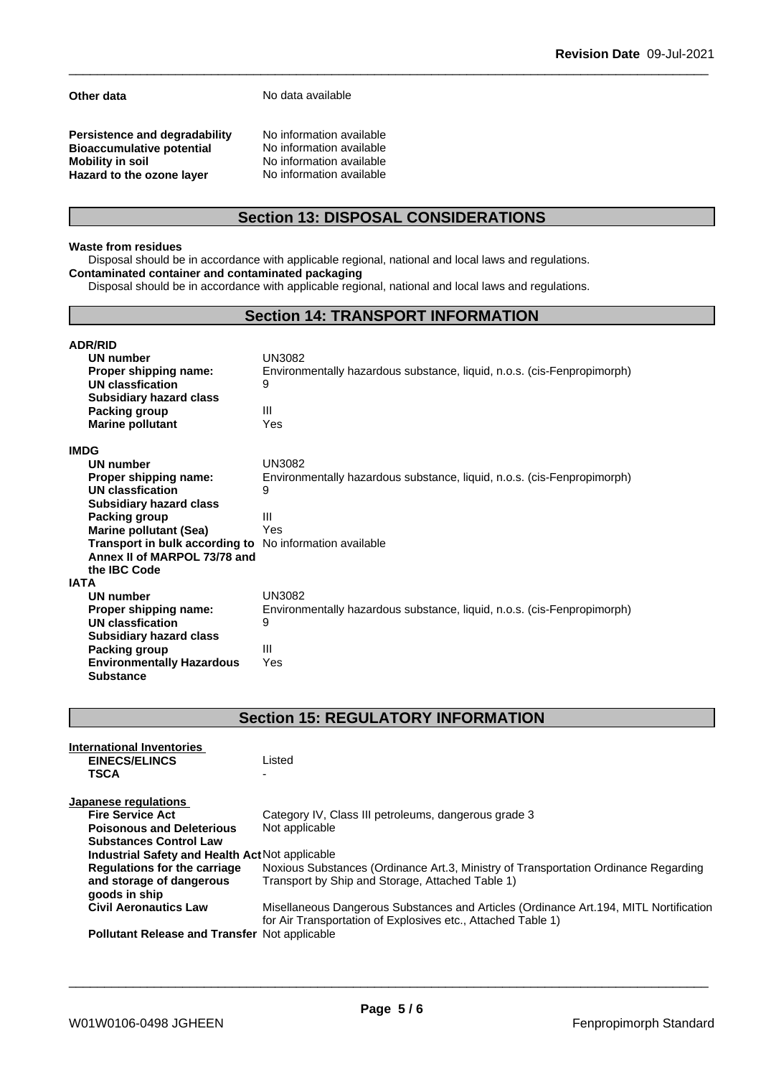**Other data** No data available

**Persistence and degradability** No information available<br>**Bioaccumulative potential** No information available **Bioaccumulative potential<br>Mobility in soil Hazard** to the ozone layer

No information available<br>No information available

# **Section 13: DISPOSAL CONSIDERATIONS**

# **Waste from residues**

Disposal should be in accordance with applicable regional, national and local laws and regulations. **Contaminated container and contaminated packaging**

Disposal should be in accordance with applicable regional, national and local laws and regulations.

# **Section 14: TRANSPORT INFORMATION**

#### **ADR/RID**<br>**UN number** (JN3082) **UN number<br>Proper shipping name: Environmentally hazardous substance, liquid, n.o.s. (cis-Fenpropimorph) UN classfication** 9 **Subsidiary hazard class Packing group Facking and Facking group Fackle**<br> **Marine pollutant** Factor Pres **Marine** pollutant **IMDG UN number** UN3082 **Proper shipping name:** Environmentally hazardous substance, liquid, n.o.s. (cis-Fenpropimorph) **UN classfication** 9 **Subsidiary hazard class Packing group III Marine pollutant (Sea)** Yes **Transport in bulk according to** No information available **Annex II of MARPOL 73/78 and the IBC Code IATA UN number** UN3082 **Proper shipping name:** Environmentally hazardous substance, liquid, n.o.s. (cis-Fenpropimorph) **UN classfication** 9 **Subsidiary hazard class Packing group** III **Environmentally Hazardous Substance** Yes

# **Section 15: REGULATORY INFORMATION**

| International Inventories<br><b>EINECS/ELINCS</b><br><b>TSCA</b> | Listed                                                                                                                                                 |
|------------------------------------------------------------------|--------------------------------------------------------------------------------------------------------------------------------------------------------|
| Japanese regulations                                             |                                                                                                                                                        |
| <b>Fire Service Act</b>                                          | Category IV, Class III petroleums, dangerous grade 3                                                                                                   |
| <b>Poisonous and Deleterious</b>                                 | Not applicable                                                                                                                                         |
| <b>Substances Control Law</b>                                    |                                                                                                                                                        |
| Industrial Safety and Health Act Not applicable                  |                                                                                                                                                        |
| <b>Regulations for the carriage</b>                              | Noxious Substances (Ordinance Art.3, Ministry of Transportation Ordinance Regarding                                                                    |
| and storage of dangerous                                         | Transport by Ship and Storage, Attached Table 1)                                                                                                       |
| goods in ship                                                    |                                                                                                                                                        |
| <b>Civil Aeronautics Law</b>                                     | Misellaneous Dangerous Substances and Articles (Ordinance Art. 194, MITL Nortification<br>for Air Transportation of Explosives etc., Attached Table 1) |
| <b>Pollutant Release and Transfer Not applicable</b>             |                                                                                                                                                        |
|                                                                  |                                                                                                                                                        |